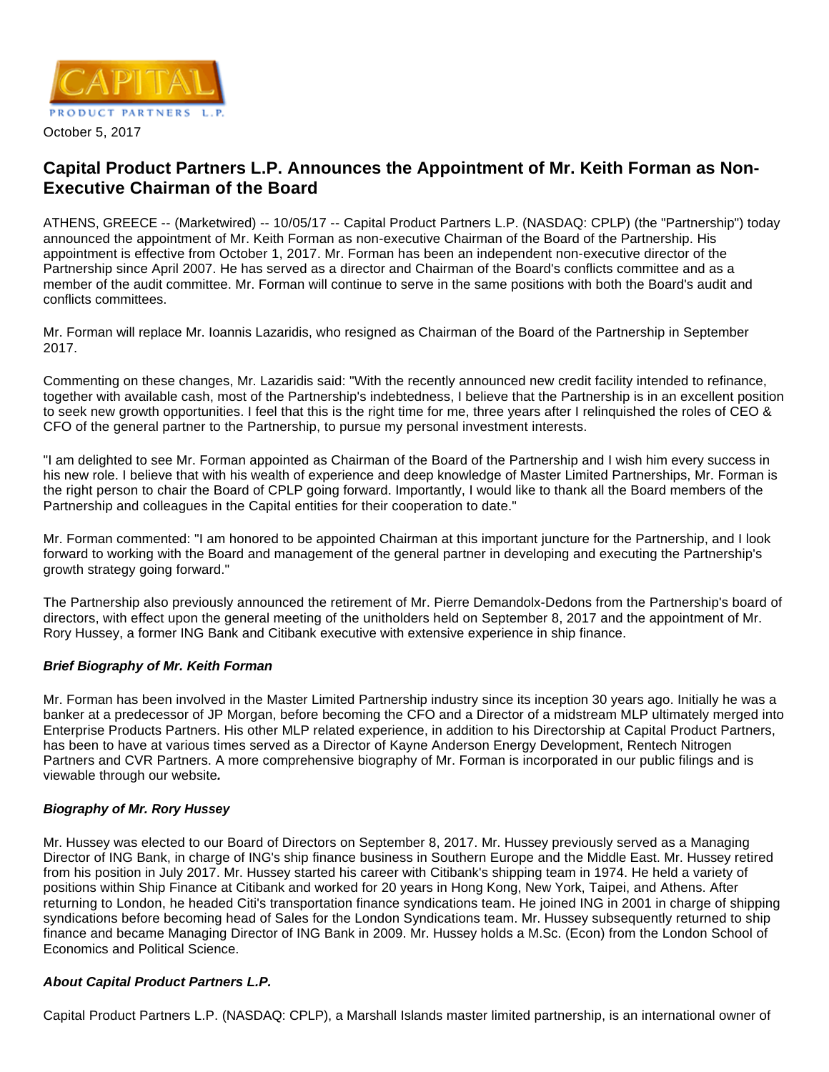

#### October 5, 2017

# **Capital Product Partners L.P. Announces the Appointment of Mr. Keith Forman as Non-Executive Chairman of the Board**

ATHENS, GREECE -- (Marketwired) -- 10/05/17 -- Capital Product Partners L.P. (NASDAQ: CPLP) (the "Partnership") today announced the appointment of Mr. Keith Forman as non-executive Chairman of the Board of the Partnership. His appointment is effective from October 1, 2017. Mr. Forman has been an independent non-executive director of the Partnership since April 2007. He has served as a director and Chairman of the Board's conflicts committee and as a member of the audit committee. Mr. Forman will continue to serve in the same positions with both the Board's audit and conflicts committees.

Mr. Forman will replace Mr. Ioannis Lazaridis, who resigned as Chairman of the Board of the Partnership in September 2017.

Commenting on these changes, Mr. Lazaridis said: "With the recently announced new credit facility intended to refinance, together with available cash, most of the Partnership's indebtedness, I believe that the Partnership is in an excellent position to seek new growth opportunities. I feel that this is the right time for me, three years after I relinquished the roles of CEO & CFO of the general partner to the Partnership, to pursue my personal investment interests.

"I am delighted to see Mr. Forman appointed as Chairman of the Board of the Partnership and I wish him every success in his new role. I believe that with his wealth of experience and deep knowledge of Master Limited Partnerships, Mr. Forman is the right person to chair the Board of CPLP going forward. Importantly, I would like to thank all the Board members of the Partnership and colleagues in the Capital entities for their cooperation to date."

Mr. Forman commented: "I am honored to be appointed Chairman at this important juncture for the Partnership, and I look forward to working with the Board and management of the general partner in developing and executing the Partnership's growth strategy going forward."

The Partnership also previously announced the retirement of Mr. Pierre Demandolx-Dedons from the Partnership's board of directors, with effect upon the general meeting of the unitholders held on September 8, 2017 and the appointment of Mr. Rory Hussey, a former ING Bank and Citibank executive with extensive experience in ship finance.

### **Brief Biography of Mr. Keith Forman**

Mr. Forman has been involved in the Master Limited Partnership industry since its inception 30 years ago. Initially he was a banker at a predecessor of JP Morgan, before becoming the CFO and a Director of a midstream MLP ultimately merged into Enterprise Products Partners. His other MLP related experience, in addition to his Directorship at Capital Product Partners, has been to have at various times served as a Director of Kayne Anderson Energy Development, Rentech Nitrogen Partners and CVR Partners. A more comprehensive biography of Mr. Forman is incorporated in our public filings and is viewable through our website**.**

### **Biography of Mr. Rory Hussey**

Mr. Hussey was elected to our Board of Directors on September 8, 2017. Mr. Hussey previously served as a Managing Director of ING Bank, in charge of ING's ship finance business in Southern Europe and the Middle East. Mr. Hussey retired from his position in July 2017. Mr. Hussey started his career with Citibank's shipping team in 1974. He held a variety of positions within Ship Finance at Citibank and worked for 20 years in Hong Kong, New York, Taipei, and Athens. After returning to London, he headed Citi's transportation finance syndications team. He joined ING in 2001 in charge of shipping syndications before becoming head of Sales for the London Syndications team. Mr. Hussey subsequently returned to ship finance and became Managing Director of ING Bank in 2009. Mr. Hussey holds a M.Sc. (Econ) from the London School of Economics and Political Science.

### **About Capital Product Partners L.P.**

Capital Product Partners L.P. (NASDAQ: CPLP), a Marshall Islands master limited partnership, is an international owner of